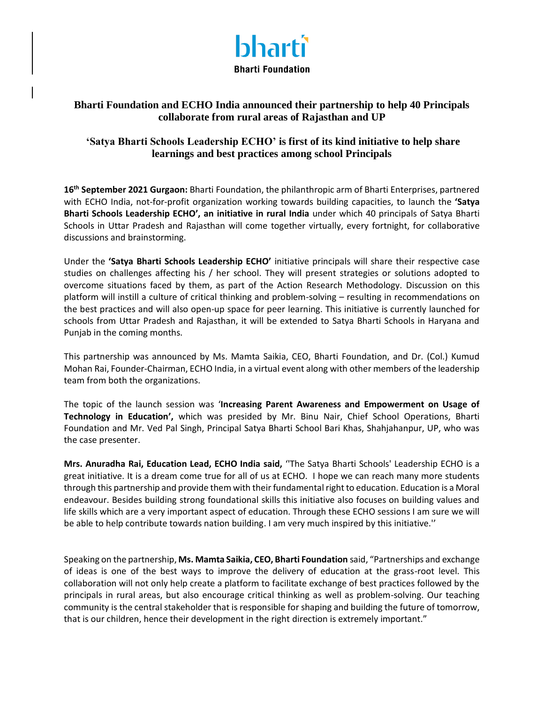

## **Bharti Foundation and ECHO India announced their partnership to help 40 Principals collaborate from rural areas of Rajasthan and UP**

## **'Satya Bharti Schools Leadership ECHO' is first of its kind initiative to help share learnings and best practices among school Principals**

**16 th September 2021 Gurgaon:** Bharti Foundation, the philanthropic arm of Bharti Enterprises, partnered with ECHO India, not-for-profit organization working towards building capacities, to launch the **'Satya Bharti Schools Leadership ECHO', an initiative in rural India** under which 40 principals of Satya Bharti Schools in Uttar Pradesh and Rajasthan will come together virtually, every fortnight, for collaborative discussions and brainstorming.

Under the **'Satya Bharti Schools Leadership ECHO'** initiative principals will share their respective case studies on challenges affecting his / her school. They will present strategies or solutions adopted to overcome situations faced by them, as part of the Action Research Methodology. Discussion on this platform will instill a culture of critical thinking and problem-solving – resulting in recommendations on the best practices and will also open-up space for peer learning. This initiative is currently launched for schools from Uttar Pradesh and Rajasthan, it will be extended to Satya Bharti Schools in Haryana and Punjab in the coming months.

This partnership was announced by Ms. Mamta Saikia, CEO, Bharti Foundation, and Dr. (Col.) Kumud Mohan Rai, Founder-Chairman, ECHO India, in a virtual event along with other members of the leadership team from both the organizations.

The topic of the launch session was '**Increasing Parent Awareness and Empowerment on Usage of Technology in Education',** which was presided by Mr. Binu Nair, Chief School Operations, Bharti Foundation and Mr. Ved Pal Singh, Principal Satya Bharti School Bari Khas, Shahjahanpur, UP, who was the case presenter.

**Mrs. Anuradha Rai, Education Lead, ECHO India said,** ''The Satya Bharti Schools' Leadership ECHO is a great initiative. It is a dream come true for all of us at ECHO. I hope we can reach many more students through this partnership and provide them with their fundamental right to education. Education is a Moral endeavour. Besides building strong foundational skills this initiative also focuses on building values and life skills which are a very important aspect of education. Through these ECHO sessions I am sure we will be able to help contribute towards nation building. I am very much inspired by this initiative.''

Speaking on the partnership, **Ms. Mamta Saikia, CEO, Bharti Foundation** said, "Partnerships and exchange of ideas is one of the best ways to improve the delivery of education at the grass-root level. This collaboration will not only help create a platform to facilitate exchange of best practices followed by the principals in rural areas, but also encourage critical thinking as well as problem-solving. Our teaching community is the central stakeholder that is responsible for shaping and building the future of tomorrow, that is our children, hence their development in the right direction is extremely important."